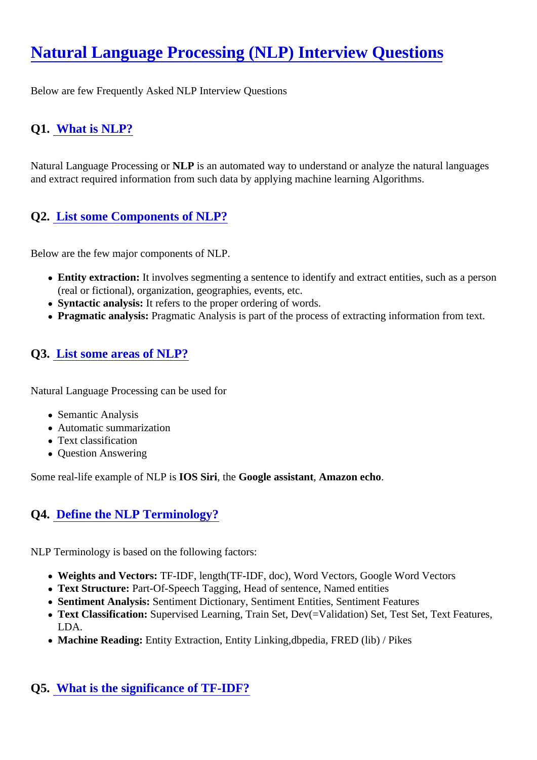# [Natural Language Processing \(NLP\) Interview Question](https://www.onlineinterviewquestions.com/nlp-interview-questions)s

Below are few Frequently Asked NLP Interview Questions

## Q1. [What is NLP?](https://www.onlineinterviewquestions.com/what-is-nlp/)

Natural Language Processing MurP is an automated way to understand or analyze the natural languages and extract required information from such data by applying machine learning Algorithms.

## Q2. [List some Components of NLP?](https://www.onlineinterviewquestions.com/list-some-components-of-nlp/)

Below are the few major components of NLP.

- Entity extraction: It involves segmenting a sentence to identify and extract entities, such as a person (real or fictional), organization, geographies, events, etc.
- Syntactic analysis: It refers to the proper ordering of words.
- Pragmatic analysis: Pragmatic Analysis is part of the process of extracting information from text.

### Q3. [List some areas of NLP?](https://www.onlineinterviewquestions.com/list-some-areas-of-nlp/)

Natural Language Processing can be used for

- Semantic Analysis
- Automatic summarization
- Text classification
- Question Answering

Some real-life example of NLP IOS Siri, the Google assistant Amazon echo.

## Q4. [Define the NLP Terminology?](https://www.onlineinterviewquestions.com/define-the-nlp-terminology/)

NLP Terminology is based on the following factors:

- Weights and Vectors: TF-IDF, length(TF-IDF, doc), Word Vectors, Google Word Vectors
- Text Structure: Part-Of-Speech Tagging, Head of sentence, Named entities
- Sentiment Analysis: Sentiment Dictionary, Sentiment Entities, Sentiment Features
- Text Classification: Supervised Learning, Train Set, Dev(=Validation) Set, Test Set, Text Features, LDA.
- Machine Reading: Entity Extraction, Entity Linking, dbpedia, FRED (lib) / Pikes

### Q5. [What is the significance of TF-IDF?](https://www.onlineinterviewquestions.com/what-is-the-significance-of-tf-idf/)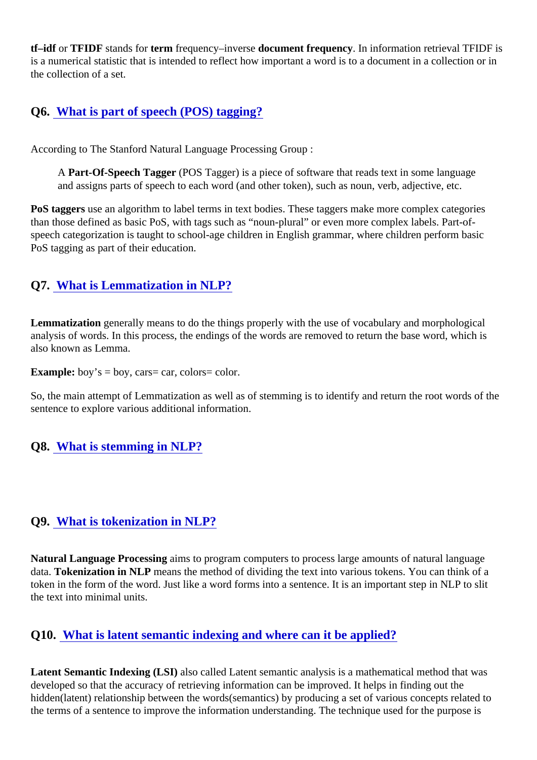tf-idf or TFIDF stands foterm frequency-inverse document frequency In information retrieval TFIDF is is a numerical statistic that is intended to reflect how important a word is to a document in a collection or ir the collection of a set.

## Q6. [What is part of speech \(POS\) tagging](https://www.onlineinterviewquestions.com/what-is-part-of-speech-pos-tagging/)?

According to The Stanford Natural Language Processing Group :

A Part-Of-Speech Tagger (POS Tagger) is a piece of software that reads text in some language and assigns parts of speech to each word (and other token), such as noun, verb, adjective, etc.

PoS taggers an algorithm to label terms in text bodies. These taggers make more complex categories than those defined as basic PoS, with tags such as "noun-plural" or even more complex labels. Part-ofspeech categorization is taught to school-age children in English grammar, where children perform basic PoS tagging as part of their education.

### Q7. [What is Lemmatization in NLP?](https://www.onlineinterviewquestions.com/what-is-lemmatization-in-nlp/)

Lemmatization generally means to do the things properly with the use of vocabulary and morphological analysis of words. In this process, the endings of the words are removed to return the base word, which is also known as Lemma.

Example: boy's = boy, cars= car, colors= color.

So, the main attempt of Lemmatization as well as of stemming is to identify and return the root words of th sentence to explore various additional information.

Q8. [What is stemming in NLP?](https://www.onlineinterviewquestions.com/what-is-stemming-in-nlp/)

### Q9. [What is tokenization in NLP?](https://www.onlineinterviewquestions.com/what-is-tokenization-in-nlp/)

Natural Language Processing aims to program computers to process large amounts of natural language data. Tokenization in NLP means the method of dividing the text into various tokens. You can think of a token in the form of the word. Just like a word forms into a sentence. It is an important step in NLP to slit the text into minimal units.

### Q10. [What is latent semantic indexing and where can it be applied](https://www.onlineinterviewquestions.com/what-is-latent-semantic-indexing-and-where-can-it-be-applied/)?

Latent Semantic Indexing (LSI) also called Latent semantic analysis is a mathematical method that was developed so that the accuracy of retrieving information can be improved. It helps in finding out the hidden(latent) relationship between the words(semantics) by producing a set of various concepts related to the terms of a sentence to improve the information understanding. The technique used for the purpose is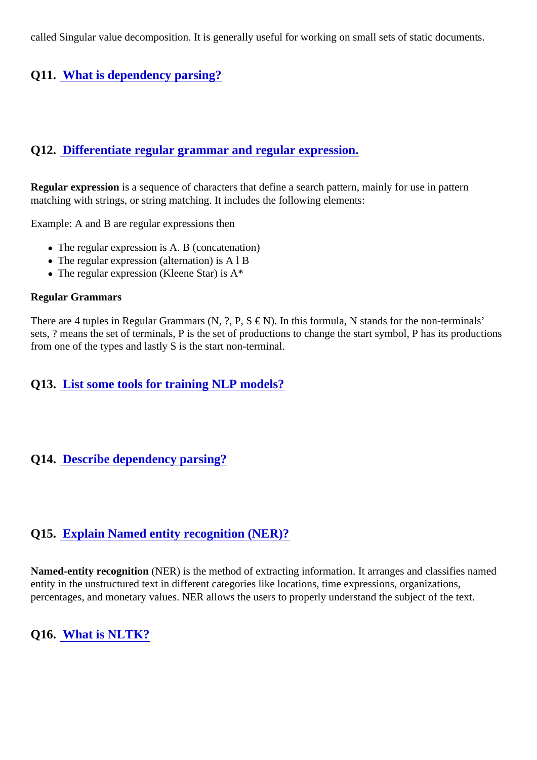called Singular value decomposition. It is generally useful for working on small sets of static documents.

## Q11. [What is dependency parsing](https://www.onlineinterviewquestions.com/what-is-dependency-parsing/)?

## Q12. [Differentiate regular grammar and regular expression](https://www.onlineinterviewquestions.com/differentiate-regular-grammar-and-regular-expression/).

Regular expression is a sequence of characters that define a search pattern, mainly for use in pattern matching with strings, or string matching. It includes the following elements:

Example: A and B are regular expressions then

- The regular expression is A. B (concatenation)
- The regular expression (alternation) is A l B
- The regular expression (Kleene Star) is A\*

#### Regular Grammars

There are 4 tuples in Regular Grammars (N, ?, P,  $S \in N$ ). In this formula, N stands for the non-terminals' sets, ? means the set of terminals, P is the set of productions to change the start symbol, P has its productions from one of the types and lastly S is the start non-terminal.

Q13. [List some tools for training NLP models?](https://www.onlineinterviewquestions.com/list-some-tools-for-training-nlp-models/)

### Q14. [Describe dependency parsing](https://www.onlineinterviewquestions.com/describe-dependency-parsing/)?

## Q15. [Explain Named entity recognition \(NER\)?](https://www.onlineinterviewquestions.com/explain-named-entity-recognition-ner/)

Named-entity recognition (NER) is the method of extracting information. It arranges and classifies named entity in the unstructured text in different categories like locations, time expressions, organizations, percentages, and monetary values. NER allows the users to properly understand the subject of the text.

Q16. [What is NLTK?](https://www.onlineinterviewquestions.com/what-is-nltk/)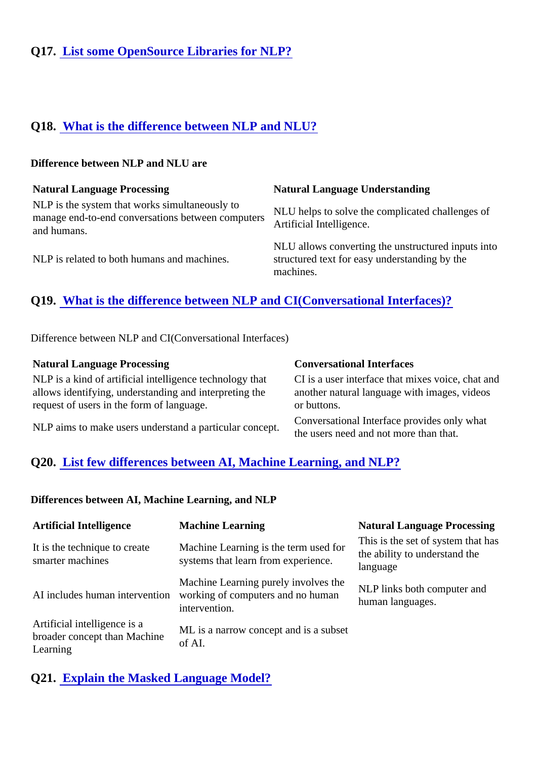# Q17. [List some OpenSource Libraries for NLP?](https://www.onlineinterviewquestions.com/list-some-opensource-libraries-for-nlp/)

## Q18. [What is the difference between NLP and NLU](https://www.onlineinterviewquestions.com/what-is-the-difference-between-nlp-and-nlu/)?

#### Difference between NLP and NLU are

| <b>Natural Language Processing</b>                            | Natural Language Understanding                                                                                   |
|---------------------------------------------------------------|------------------------------------------------------------------------------------------------------------------|
| NLP is the system that works simultaneously to<br>and humans. | manage end-to-end conversations between computers Artificial Intelligence.<br>and humans                         |
| NLP is related to both humans and machines.                   | NLU allows converting the unstructured inputs into<br>structured text for easy understanding by the<br>machines. |

## Q19. [What is the difference between NLP and CI\(Conversational Interfaces\)](https://www.onlineinterviewquestions.com/what-is-the-difference-between-nlp-and-ci-conversational-interfaces/)?

Difference between NLP and CI(Conversational Interfaces)

| <b>Natural Language Processing</b>                                                                                                                                                                                                                             | <b>Conversational Interfaces</b> |
|----------------------------------------------------------------------------------------------------------------------------------------------------------------------------------------------------------------------------------------------------------------|----------------------------------|
| NLP is a kind of artificial intelligence technology that CI is a user interface that mixes voice, chat and<br>allows identifying, understanding and interpreting the another natural language with images, videos<br>request of users in the form of language. | or buttons.                      |
| NLP aims to make users understand a particular concept.<br>NLP aims to make users understand a particular concept.<br>The users need and not more than that.                                                                                                   |                                  |

## Q20. [List few differences between AI, Machine Learning, and NLP?](https://www.onlineinterviewquestions.com/list-few-differences-between-ai-machine-learning-and-nlp/)

Differences between AI, Machine Learning, and NLP

| Artificial Intelligence                                                         | <b>Machine Learning</b>                                                                                                                                                              | <b>Natural Language Processing</b> |
|---------------------------------------------------------------------------------|--------------------------------------------------------------------------------------------------------------------------------------------------------------------------------------|------------------------------------|
| It is the technique to create<br>smarter machines                               | Machine Learning is the term used for This is the set of system that has<br>avetens that learn from everyionse. the ability to understand the<br>systems that learn from experience. | language                           |
|                                                                                 | Machine Learning purely involves the NLP links both computer and<br>Al includes human interventionworking of computers and no human<br>intervention.                                 | human languages.                   |
| Artificial intelligence is a<br>broader concept than Machine of Al.<br>Learning | ML is a narrow concept and is a subset                                                                                                                                               |                                    |

Q21. [Explain the Masked Language Model?](https://www.onlineinterviewquestions.com/explain-the-masked-language-model/)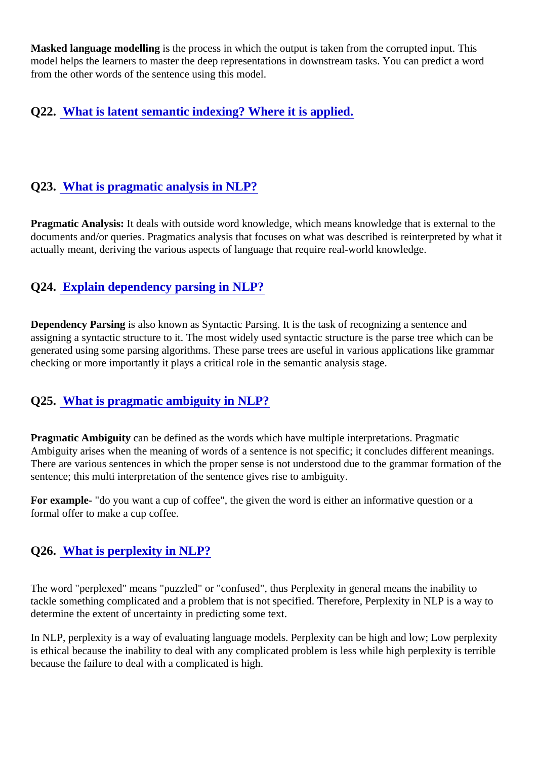Masked language modellings the process in which the output is taken from the corrupted input. This model helps the learners to master the deep representations in downstream tasks. You can predict a word from the other words of the sentence using this model.

Q22. [What is latent semantic indexing? Where it is applied](https://www.onlineinterviewquestions.com/what-is-latent-semantic-indexing-where-it-is-applied/).

## Q23. [What is pragmatic analysis in NLP?](https://www.onlineinterviewquestions.com/what-is-pragmatic-analysis-in-nlp/)

Pragmatic Analysis: It deals with outside word knowledge, which means knowledge that is external to the documents and/or queries. Pragmatics analysis that focuses on what was described is reinterpreted by wh actually meant, deriving the various aspects of language that require real-world knowledge.

## Q24. [Explain dependency parsing in NLP?](https://www.onlineinterviewquestions.com/explain-dependency-parsing-in-nlp/)

Dependency Parsings also known as Syntactic Parsing. It is the task of recognizing a sentence and assigning a syntactic structure to it. The most widely used syntactic structure is the parse tree which can be generated using some parsing algorithms. These parse trees are useful in various applications like gramm checking or more importantly it plays a critical role in the semantic analysis stage.

### Q25. [What is pragmatic ambiguity in NLP?](https://www.onlineinterviewquestions.com/what-is-pragmatic-ambiguity-in-nlp/)

Pragmatic Ambiguity can be defined as the words which have multiple interpretations. Pragmatic Ambiguity arises when the meaning of words of a sentence is not specific; it concludes different meanings. There are various sentences in which the proper sense is not understood due to the grammar formation of sentence; this multi interpretation of the sentence gives rise to ambiguity.

For example- "do you want a cup of coffee", the given the word is either an informative question or a formal offer to make a cup coffee.

### Q26. [What is perplexity in NLP?](https://www.onlineinterviewquestions.com/what-is-perplexity-in-nlp/)

The word "perplexed" means "puzzled" or "confused", thus Perplexity in general means the inability to tackle something complicated and a problem that is not specified. Therefore, Perplexity in NLP is a way to determine the extent of uncertainty in predicting some text.

In NLP, perplexity is a way of evaluating language models. Perplexity can be high and low; Low perplexity is ethical because the inability to deal with any complicated problem is less while high perplexity is terrible because the failure to deal with a complicated is high.